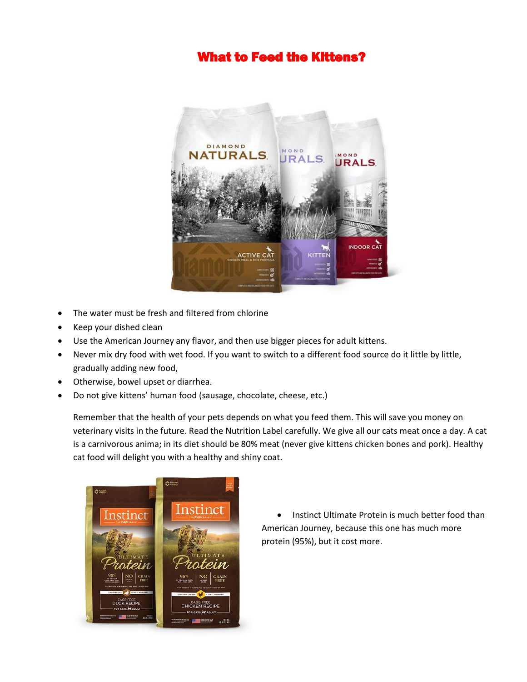## What to Feed the Kittens?



- The water must be fresh and filtered from chlorine
- Keep your dished clean
- Use the American Journey any flavor, and then use bigger pieces for adult kittens.
- Never mix dry food with wet food. If you want to switch to a different food source do it little by little, gradually adding new food,
- Otherwise, bowel upset or diarrhea.
- Do not give kittens' human food (sausage, chocolate, cheese, etc.)

Remember that the health of your pets depends on what you feed them. This will save you money on veterinary visits in the future. Read the Nutrition Label carefully. We give all our cats meat once a day. A cat is a carnivorous anima; in its diet should be 80% meat (never give kittens chicken bones and pork). Healthy cat food will delight you with a healthy and shiny coat.



• Instinct Ultimate Protein is much better food than American Journey, because this one has much more protein (95%), but it cost more.